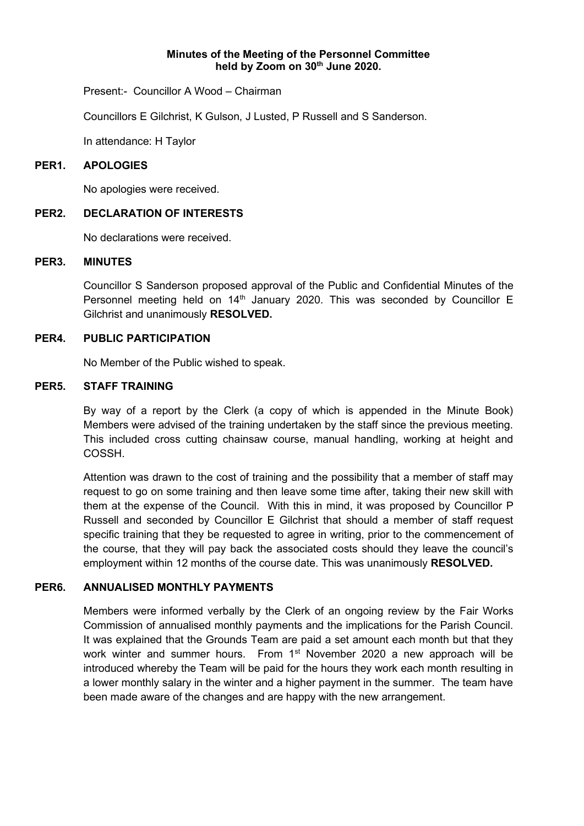#### **Minutes of the Meeting of the Personnel Committee held by Zoom on 30th June 2020.**

Present:- Councillor A Wood – Chairman

Councillors E Gilchrist, K Gulson, J Lusted, P Russell and S Sanderson.

In attendance: H Taylor

#### **PER1. APOLOGIES**

No apologies were received.

#### **PER2. DECLARATION OF INTERESTS**

No declarations were received.

#### **PER3. MINUTES**

Councillor S Sanderson proposed approval of the Public and Confidential Minutes of the Personnel meeting held on 14<sup>th</sup> January 2020. This was seconded by Councillor E Gilchrist and unanimously **RESOLVED.**

## **PER4. PUBLIC PARTICIPATION**

No Member of the Public wished to speak.

#### **PER5. STAFF TRAINING**

By way of a report by the Clerk (a copy of which is appended in the Minute Book) Members were advised of the training undertaken by the staff since the previous meeting. This included cross cutting chainsaw course, manual handling, working at height and COSSH.

Attention was drawn to the cost of training and the possibility that a member of staff may request to go on some training and then leave some time after, taking their new skill with them at the expense of the Council. With this in mind, it was proposed by Councillor P Russell and seconded by Councillor E Gilchrist that should a member of staff request specific training that they be requested to agree in writing, prior to the commencement of the course, that they will pay back the associated costs should they leave the council's employment within 12 months of the course date. This was unanimously **RESOLVED.**

## **PER6. ANNUALISED MONTHLY PAYMENTS**

Members were informed verbally by the Clerk of an ongoing review by the Fair Works Commission of annualised monthly payments and the implications for the Parish Council. It was explained that the Grounds Team are paid a set amount each month but that they work winter and summer hours. From 1<sup>st</sup> November 2020 a new approach will be introduced whereby the Team will be paid for the hours they work each month resulting in a lower monthly salary in the winter and a higher payment in the summer. The team have been made aware of the changes and are happy with the new arrangement.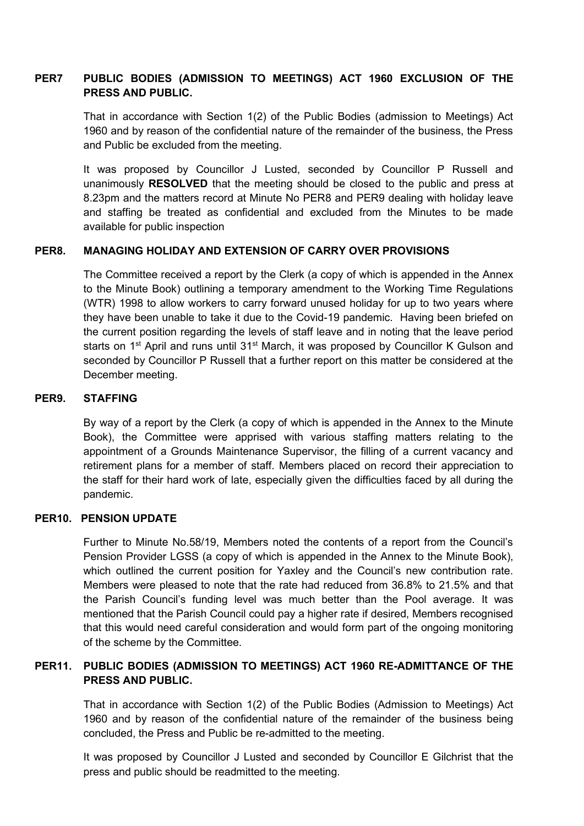# **PER7 PUBLIC BODIES (ADMISSION TO MEETINGS) ACT 1960 EXCLUSION OF THE PRESS AND PUBLIC.**

That in accordance with Section 1(2) of the Public Bodies (admission to Meetings) Act 1960 and by reason of the confidential nature of the remainder of the business, the Press and Public be excluded from the meeting.

It was proposed by Councillor J Lusted, seconded by Councillor P Russell and unanimously **RESOLVED** that the meeting should be closed to the public and press at 8.23pm and the matters record at Minute No PER8 and PER9 dealing with holiday leave and staffing be treated as confidential and excluded from the Minutes to be made available for public inspection

## **PER8. MANAGING HOLIDAY AND EXTENSION OF CARRY OVER PROVISIONS**

The Committee received a report by the Clerk (a copy of which is appended in the Annex to the Minute Book) outlining a temporary amendment to the Working Time Regulations (WTR) 1998 to allow workers to carry forward unused holiday for up to two years where they have been unable to take it due to the Covid-19 pandemic. Having been briefed on the current position regarding the levels of staff leave and in noting that the leave period starts on 1<sup>st</sup> April and runs until 31<sup>st</sup> March, it was proposed by Councillor K Gulson and seconded by Councillor P Russell that a further report on this matter be considered at the December meeting.

## **PER9. STAFFING**

By way of a report by the Clerk (a copy of which is appended in the Annex to the Minute Book), the Committee were apprised with various staffing matters relating to the appointment of a Grounds Maintenance Supervisor, the filling of a current vacancy and retirement plans for a member of staff. Members placed on record their appreciation to the staff for their hard work of late, especially given the difficulties faced by all during the pandemic.

## **PER10. PENSION UPDATE**

Further to Minute No.58/19, Members noted the contents of a report from the Council's Pension Provider LGSS (a copy of which is appended in the Annex to the Minute Book), which outlined the current position for Yaxley and the Council's new contribution rate. Members were pleased to note that the rate had reduced from 36.8% to 21.5% and that the Parish Council's funding level was much better than the Pool average. It was mentioned that the Parish Council could pay a higher rate if desired, Members recognised that this would need careful consideration and would form part of the ongoing monitoring of the scheme by the Committee.

## **PER11. PUBLIC BODIES (ADMISSION TO MEETINGS) ACT 1960 RE-ADMITTANCE OF THE PRESS AND PUBLIC.**

That in accordance with Section 1(2) of the Public Bodies (Admission to Meetings) Act 1960 and by reason of the confidential nature of the remainder of the business being concluded, the Press and Public be re-admitted to the meeting.

It was proposed by Councillor J Lusted and seconded by Councillor E Gilchrist that the press and public should be readmitted to the meeting.